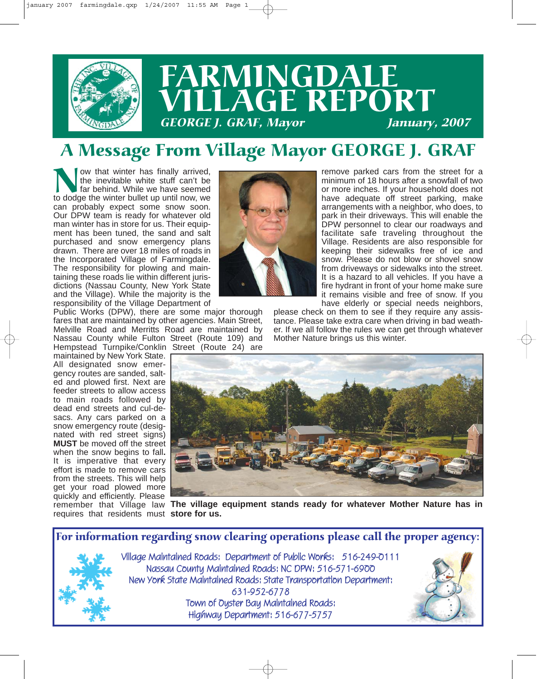

# **FARMINGDALE** VILLAGE REPORT GEORGE J. GRAF, Mayor January, 2007

## A Message From Village Mayor GEORGE J. GRAF

Now that winter has finally arrived,<br>the inevitable white stuff can't be<br>far behind. While we have seemed<br>to dodge the winter bullet up until now, we the inevitable white stuff can't be far behind. While we have seemed can probably expect some snow soon. Our DPW team is ready for whatever old man winter has in store for us. Their equipment has been tuned, the sand and salt purchased and snow emergency plans drawn. There are over 18 miles of roads in the Incorporated Village of Farmingdale. The responsibility for plowing and maintaining these roads lie within different jurisdictions (Nassau County, New York State and the Village). While the majority is the responsibility of the Village Department of

Public Works (DPW), there are some major thorough fares that are maintained by other agencies. Main Street, Melville Road and Merritts Road are maintained by Nassau County while Fulton Street (Route 109) and Hempstead Turnpike/Conklin Street (Route 24) are

maintained by New York State. All designated snow emergency routes are sanded, salted and plowed first. Next are feeder streets to allow access to main roads followed by dead end streets and cul-desacs. Any cars parked on a snow emergency route (designated with red street signs) **MUST** be moved off the street when the snow begins to fall**.** It is imperative that every effort is made to remove cars from the streets. This will help get your road plowed more quickly and efficiently. Please requires that residents must **store for us.**



please check on them to see if they require any assistance. Please take extra care when driving in bad weather. If we all follow the rules we can get through whatever Mother Nature brings us this winter.



remember that Village law The village equipment stands ready for whatever Mother Nature has in

For information regarding snow clearing operations please call the proper agency:



Village Maintained Roads: Department of Public Works: 516-249-0111 Nassau County Maintained Roads: NC DPW: 516-571-6900 New York State Maintained Roads: State Transportation Department: 631-952-6778 Town of Oyster Bay Maintained Roads: Highway Department: 516-677-5757

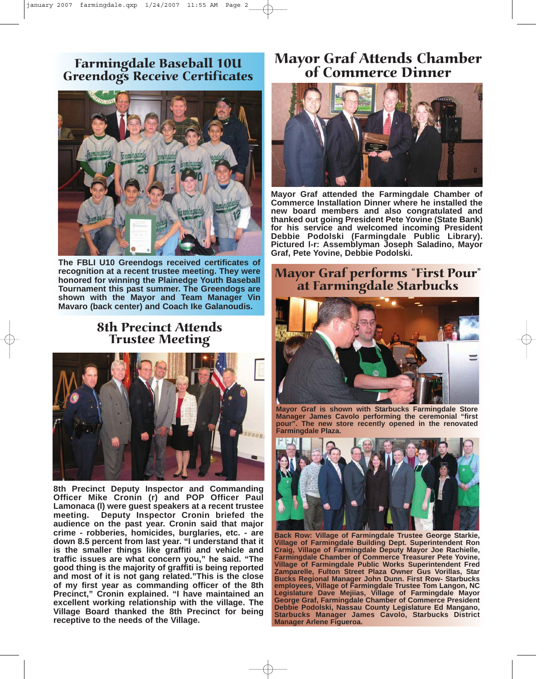### Farmingdale Baseball 10U Greendogs Receive Certificates



**The FBLI U10 Greendogs received certificates of recognition at a recent trustee meeting. They were honored for winning the Plainedge Youth Baseball Tournament this past summer. The Greendogs are shown with the Mayor and Team Manager Vin Mavaro (back center) and Coach Ike Galanoudis.**

#### 8th Precinct Attends Trustee Meeting



**8th Precinct Deputy Inspector and Commanding Officer Mike Cronin (r) and POP Officer Paul Lamonaca (l) were guest speakers at a recent trustee meeting. Deputy Inspector Cronin briefed the audience on the past year. Cronin said that major crime - robberies, homicides, burglaries, etc. - are down 8.5 percent from last year. "I understand that it is the smaller things like graffiti and vehicle and traffic issues are what concern you," he said. "The good thing is the majority of graffiti is being reported and most of it is not gang related."This is the close of my first year as commanding officer of the 8th Precinct," Cronin explained. "I have maintained an excellent working relationship with the village. The Village Board thanked the 8th Precinct for being receptive to the needs of the Village.**

## Mayor Graf Attends Chamber of Commerce Dinner



**Mayor Graf attended the Farmingdale Chamber of Commerce Installation Dinner where he installed the new board members and also congratulated and thanked out going President Pete Yovine (State Bank) for his service and welcomed incoming President Debbie Podolski (Farmingdale Public Library). Pictured l-r: Assemblyman Joseph Saladino, Mayor Graf, Pete Yovine, Debbie Podolski.**

## Mayor Graf performs "First Pour" at Farmingdale Starbucks



**Mayor Graf is shown with Starbucks Farmingdale Store Manager James Cavolo performing the ceremonial "first pour". The new store recently opened in the renovated Farmingdale Plaza.**



**Back Row: Village of Farmingdale Trustee George Starkie, Village of Farmingdale Building Dept. Superintendent Ron Craig, Village of Farmingdale Deputy Mayor Joe Rachielle, Farmingdale Chamber of Commerce Treasurer Pete Yovine, Village of Farmingdale Public Works Superintendent Fred Zamparelle, Fulton Street Plaza Owner Gus Vorillas, Star Bucks Regional Manager John Dunn. First Row- Starbucks employees, Village of Farmingdale Trustee Tom Langon, NC Legislature Dave Mejiias, Village of Farmingdale Mayor George Graf, Farmingdale Chamber of Commerce President Debbie Podolski, Nassau County Legislature Ed Mangano, Starbucks Manager James Cavolo, Starbucks District Manager Arlene Figueroa.**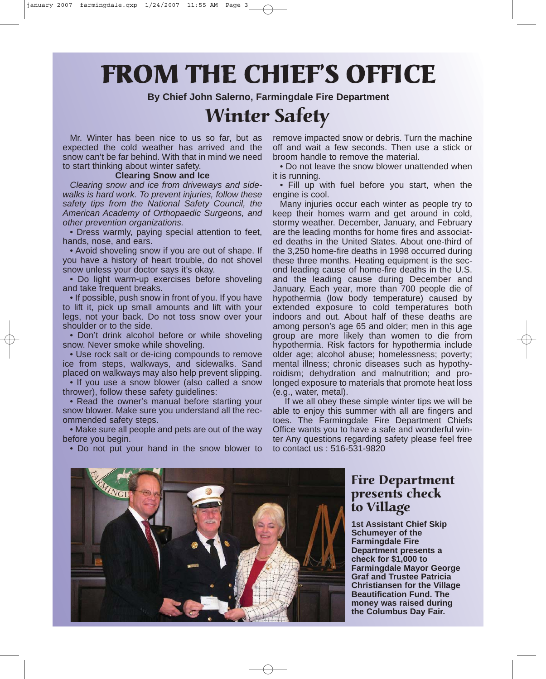# FROM THE CHIEF'S OFFICE

**By Chief John Salerno, Farmingdale Fire Department**

## Winter Safety

Mr. Winter has been nice to us so far, but as expected the cold weather has arrived and the snow can't be far behind. With that in mind we need to start thinking about winter safety.

#### **Clearing Snow and Ice**

*Clearing snow and ice from driveways and sidewalks is hard work. To prevent injuries, follow these safety tips from the National Safety Council, the American Academy of Orthopaedic Surgeons, and other prevention organizations.* 

• Dress warmly, paying special attention to feet, hands, nose, and ears.

• Avoid shoveling snow if you are out of shape. If you have a history of heart trouble, do not shovel snow unless your doctor says it's okay.

• Do light warm-up exercises before shoveling and take frequent breaks.

• If possible, push snow in front of you. If you have to lift it, pick up small amounts and lift with your legs, not your back. Do not toss snow over your shoulder or to the side.

• Don't drink alcohol before or while shoveling snow. Never smoke while shoveling.

• Use rock salt or de-icing compounds to remove ice from steps, walkways, and sidewalks. Sand placed on walkways may also help prevent slipping.

• If you use a snow blower (also called a snow thrower), follow these safety guidelines:

• Read the owner's manual before starting your snow blower. Make sure you understand all the recommended safety steps.

• Make sure all people and pets are out of the way before you begin.

• Do not put your hand in the snow blower to

remove impacted snow or debris. Turn the machine off and wait a few seconds. Then use a stick or broom handle to remove the material.

• Do not leave the snow blower unattended when it is running.

• Fill up with fuel before you start, when the engine is cool.

Many injuries occur each winter as people try to keep their homes warm and get around in cold, stormy weather. December, January, and February are the leading months for home fires and associated deaths in the United States. About one-third of the 3,250 home-fire deaths in 1998 occurred during these three months. Heating equipment is the second leading cause of home-fire deaths in the U.S. and the leading cause during December and January. Each year, more than 700 people die of hypothermia (low body temperature) caused by extended exposure to cold temperatures both indoors and out. About half of these deaths are among person's age 65 and older; men in this age group are more likely than women to die from hypothermia. Risk factors for hypothermia include older age; alcohol abuse; homelessness; poverty; mental illness; chronic diseases such as hypothyroidism; dehydration and malnutrition; and prolonged exposure to materials that promote heat loss (e.g., water, metal).

If we all obey these simple winter tips we will be able to enjoy this summer with all are fingers and toes. The Farmingdale Fire Department Chiefs Office wants you to have a safe and wonderful winter Any questions regarding safety please feel free to contact us : 516-531-9820



#### Fire Department presents check to Village

**1st Assistant Chief Skip Schumeyer of the Farmingdale Fire Department presents a check for \$1,000 to Farmingdale Mayor George Graf and Trustee Patricia Christiansen for the Village Beautification Fund. The money was raised during the Columbus Day Fair.**